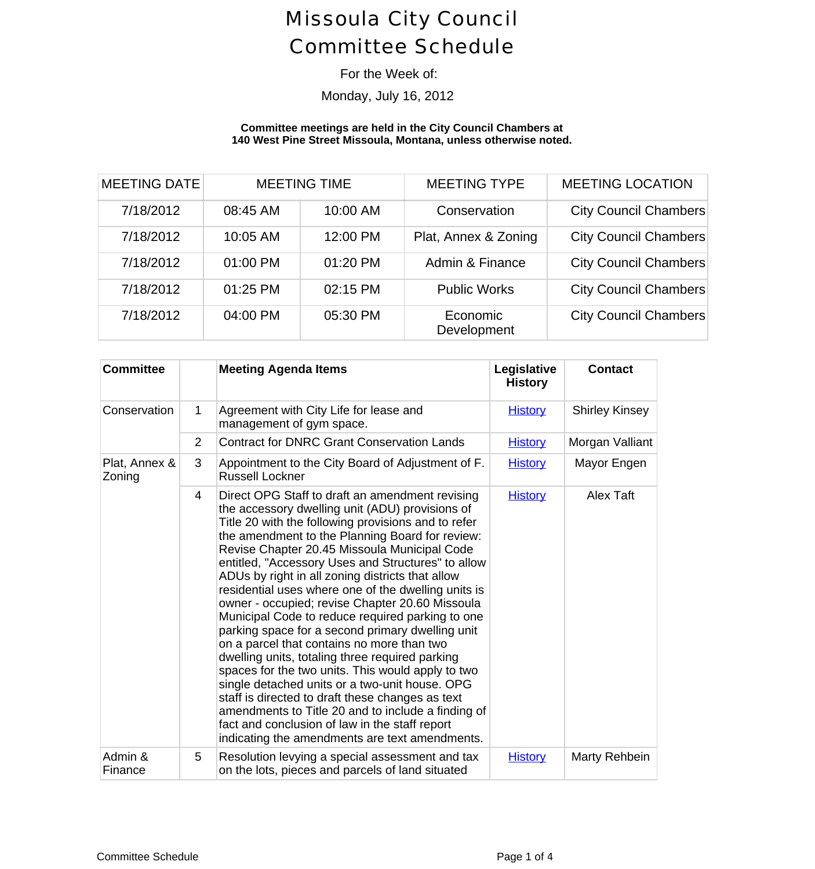### For the Week of:

### Monday, July 16, 2012

#### **Committee meetings are held in the City Council Chambers at 140 West Pine Street Missoula, Montana, unless otherwise noted.**

| <b>MEETING DATE</b> | <b>MEETING TIME</b> |          | <b>MEETING TYPE</b>     | <b>MEETING LOCATI</b>    |  |
|---------------------|---------------------|----------|-------------------------|--------------------------|--|
| 7/18/2012           | 08:45 AM            | 10:00 AM | Conservation            | <b>City Council Char</b> |  |
| 7/18/2012           | 10:05 AM            | 12:00 PM | Plat, Annex & Zoning    | <b>City Council Char</b> |  |
| 7/18/2012           | 01:00 PM            | 01:20 PM | Admin & Finance         | <b>City Council Char</b> |  |
| 7/18/2012           | 01:25 PM            | 02:15 PM | <b>Public Works</b>     | <b>City Council Char</b> |  |
| 7/18/2012           | 04:00 PM            | 05:30 PM | Economic<br>Development | <b>City Council Char</b> |  |

| <b>Committee</b>        |                | <b>Meeting Agenda Items</b>                                                                                                                                                                                                                                                                                                                                                                                                                                                                                                                                                                                                                                                                                                                                                                                                                                                                                                                                                                                    | Legislative<br><b>History</b> | <b>Contact</b>        |
|-------------------------|----------------|----------------------------------------------------------------------------------------------------------------------------------------------------------------------------------------------------------------------------------------------------------------------------------------------------------------------------------------------------------------------------------------------------------------------------------------------------------------------------------------------------------------------------------------------------------------------------------------------------------------------------------------------------------------------------------------------------------------------------------------------------------------------------------------------------------------------------------------------------------------------------------------------------------------------------------------------------------------------------------------------------------------|-------------------------------|-----------------------|
| Conservation            | 1              | Agreement with City Life for lease and<br>management of gym space.                                                                                                                                                                                                                                                                                                                                                                                                                                                                                                                                                                                                                                                                                                                                                                                                                                                                                                                                             | <b>History</b>                | <b>Shirley Kinsey</b> |
|                         | $\overline{2}$ | <b>Contract for DNRC Grant Conservation Lands</b>                                                                                                                                                                                                                                                                                                                                                                                                                                                                                                                                                                                                                                                                                                                                                                                                                                                                                                                                                              | <b>History</b>                | Morgan Valliant       |
| Plat, Annex &<br>Zoning | 3              | Appointment to the City Board of Adjustment of F.<br><b>Russell Lockner</b>                                                                                                                                                                                                                                                                                                                                                                                                                                                                                                                                                                                                                                                                                                                                                                                                                                                                                                                                    | <b>History</b>                | Mayor Engen           |
|                         | $\overline{4}$ | Direct OPG Staff to draft an amendment revising<br>the accessory dwelling unit (ADU) provisions of<br>Title 20 with the following provisions and to refer<br>the amendment to the Planning Board for review:<br>Revise Chapter 20.45 Missoula Municipal Code<br>entitled, "Accessory Uses and Structures" to allow<br>ADUs by right in all zoning districts that allow<br>residential uses where one of the dwelling units is<br>owner - occupied; revise Chapter 20.60 Missoula<br>Municipal Code to reduce required parking to one<br>parking space for a second primary dwelling unit<br>on a parcel that contains no more than two<br>dwelling units, totaling three required parking<br>spaces for the two units. This would apply to two<br>single detached units or a two-unit house. OPG<br>staff is directed to draft these changes as text<br>amendments to Title 20 and to include a finding of<br>fact and conclusion of law in the staff report<br>indicating the amendments are text amendments. | <b>History</b>                | Alex Taft             |
| Admin &<br>Finance      | 5              | Resolution levying a special assessment and tax<br>on the lots, pieces and parcels of land situated                                                                                                                                                                                                                                                                                                                                                                                                                                                                                                                                                                                                                                                                                                                                                                                                                                                                                                            | <b>History</b>                | Marty Rehbein         |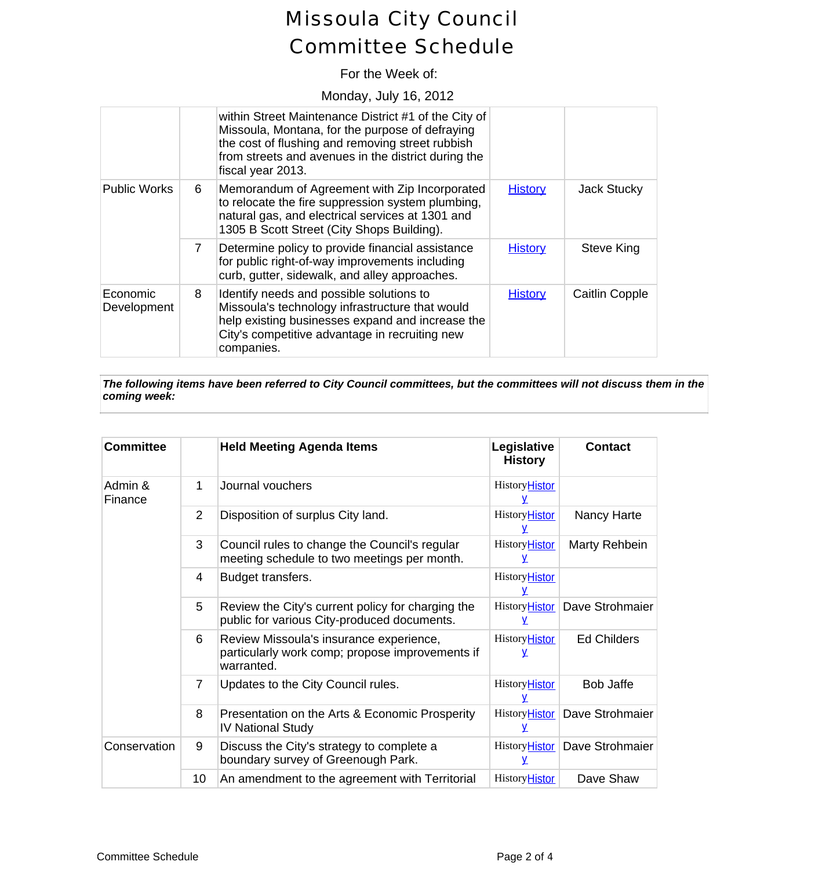### For the Week of:

#### Monday, July 16, 2012

|                         |                | within Street Maintenance District #1 of the City of<br>Missoula, Montana, for the purpose of defraying<br>the cost of flushing and removing street rubbish<br>from streets and avenues in the district during the<br>fiscal year 2013. |                |                       |
|-------------------------|----------------|-----------------------------------------------------------------------------------------------------------------------------------------------------------------------------------------------------------------------------------------|----------------|-----------------------|
| <b>Public Works</b>     | 6.             | Memorandum of Agreement with Zip Incorporated<br>to relocate the fire suppression system plumbing,<br>natural gas, and electrical services at 1301 and<br>1305 B Scott Street (City Shops Building).                                    | <b>History</b> | <b>Jack Stucky</b>    |
|                         | $\overline{7}$ | Determine policy to provide financial assistance<br>for public right-of-way improvements including<br>curb, gutter, sidewalk, and alley approaches.                                                                                     | <b>History</b> | <b>Steve King</b>     |
| Economic<br>Development | 8              | Identify needs and possible solutions to<br>Missoula's technology infrastructure that would<br>help existing businesses expand and increase the<br>City's competitive advantage in recruiting new<br>companies.                         | <b>History</b> | <b>Caitlin Copple</b> |

The following items have been referred to City Council committees, but the committees will not discuss them *coming week:*

| <b>Committee</b>   |                | <b>Held Meeting Agenda Items</b>                                                                         | Legislative<br><b>History</b> | <b>Contact</b>     |
|--------------------|----------------|----------------------------------------------------------------------------------------------------------|-------------------------------|--------------------|
| Admin &<br>Finance | 1              | Journal vouchers                                                                                         | HistoryHistor                 |                    |
|                    | $\overline{2}$ | Disposition of surplus City land.                                                                        | <b>HistoryHistor</b>          | Nancy Harte        |
|                    | 3              | Council rules to change the Council's regular<br>meeting schedule to two meetings per month.             | HistoryHistor<br>۷            | Marty Rehbein      |
|                    | 4              | Budget transfers.                                                                                        | <b>HistoryHistor</b>          |                    |
|                    | 5              | Review the City's current policy for charging the<br>public for various City-produced documents.         | History <b>Histor</b><br>Y    | Dave Strohmaier    |
|                    | 6              | Review Missoula's insurance experience,<br>particularly work comp; propose improvements if<br>warranted. | HistoryHistor<br>۷            | <b>Ed Childers</b> |
|                    | 7              | Updates to the City Council rules.                                                                       | HistoryHistor                 | <b>Bob Jaffe</b>   |
|                    | 8              | Presentation on the Arts & Economic Prosperity<br><b>IV National Study</b>                               | History <b>Histor</b><br>٧    | Dave Strohmaier    |
| Conservation       | 9              | Discuss the City's strategy to complete a<br>boundary survey of Greenough Park.                          | <b>HistoryHistor</b>          | Dave Strohmaier    |
|                    | 10             | An amendment to the agreement with Territorial                                                           | HistoryHistor                 | Dave Shaw          |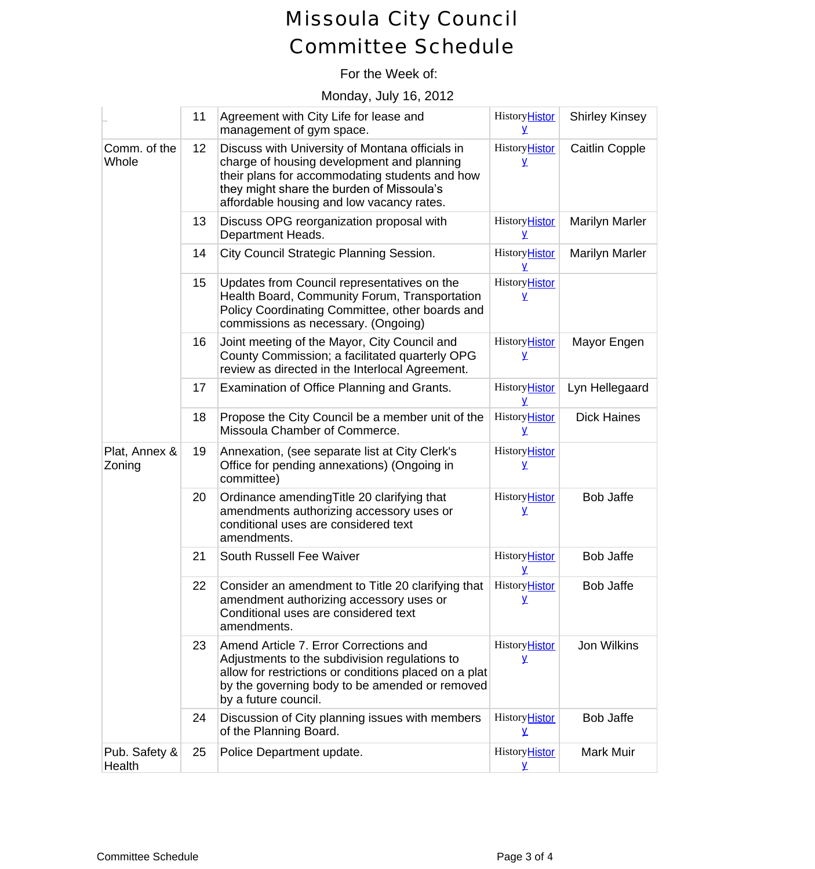### For the Week of:

### Monday, July 16, 2012

|                         | 11 | Agreement with City Life for lease and<br>management of gym space.                                                                                                                                                                        | HistoryHistor<br>Y          | <b>Shirley Kinsey</b> |
|-------------------------|----|-------------------------------------------------------------------------------------------------------------------------------------------------------------------------------------------------------------------------------------------|-----------------------------|-----------------------|
| Comm. of the<br>Whole   | 12 | Discuss with University of Montana officials in<br>charge of housing development and planning<br>their plans for accommodating students and how<br>they might share the burden of Missoula's<br>affordable housing and low vacancy rates. | History <b>Histor</b><br>Y  | <b>Caitlin Copple</b> |
|                         | 13 | Discuss OPG reorganization proposal with<br>Department Heads.                                                                                                                                                                             | History <b>Histor</b><br>y  | <b>Marilyn Marler</b> |
|                         | 14 | City Council Strategic Planning Session.                                                                                                                                                                                                  | History <b>Histor</b><br>V  | <b>Marilyn Marler</b> |
|                         | 15 | Updates from Council representatives on the<br>Health Board, Community Forum, Transportation<br>Policy Coordinating Committee, other boards and<br>commissions as necessary. (Ongoing)                                                    | <b>HistoryHistor</b><br>V.  |                       |
|                         | 16 | Joint meeting of the Mayor, City Council and<br>County Commission; a facilitated quarterly OPG<br>review as directed in the Interlocal Agreement.                                                                                         | History <b>Histor</b><br>Y  | Mayor Engen           |
|                         | 17 | Examination of Office Planning and Grants.                                                                                                                                                                                                | <b>HistoryHistor</b>        | Lyn Hellegaard        |
|                         | 18 | Propose the City Council be a member unit of the<br>Missoula Chamber of Commerce.                                                                                                                                                         | <b>History</b> Histor<br>V  | <b>Dick Haines</b>    |
| Plat, Annex &<br>Zoning | 19 | Annexation, (see separate list at City Clerk's<br>Office for pending annexations) (Ongoing in<br>committee)                                                                                                                               | History <b>Histor</b><br>y  |                       |
|                         | 20 | Ordinance amending Title 20 clarifying that<br>amendments authorizing accessory uses or<br>conditional uses are considered text<br>amendments.                                                                                            | History <b>Histor</b><br>v  | <b>Bob Jaffe</b>      |
|                         | 21 | South Russell Fee Waiver                                                                                                                                                                                                                  | <b>HistoryHistor</b><br>Y   | <b>Bob Jaffe</b>      |
|                         | 22 | Consider an amendment to Title 20 clarifying that<br>amendment authorizing accessory uses or<br>Conditional uses are considered text<br>amendments.                                                                                       | HistoryHistor<br>y          | <b>Bob Jaffe</b>      |
|                         | 23 | Amend Article 7. Error Corrections and<br>Adjustments to the subdivision regulations to<br>allow for restrictions or conditions placed on a plat<br>by the governing body to be amended or removed<br>by a future council.                | History <b>Histor</b><br>v. | <b>Jon Wilkins</b>    |
|                         | 24 | Discussion of City planning issues with members<br>of the Planning Board.                                                                                                                                                                 | History <b>Histor</b><br>Y  | <b>Bob Jaffe</b>      |
| Pub. Safety &<br>Health | 25 | Police Department update.                                                                                                                                                                                                                 | History <b>Histor</b><br>Ÿ  | Mark Muir             |